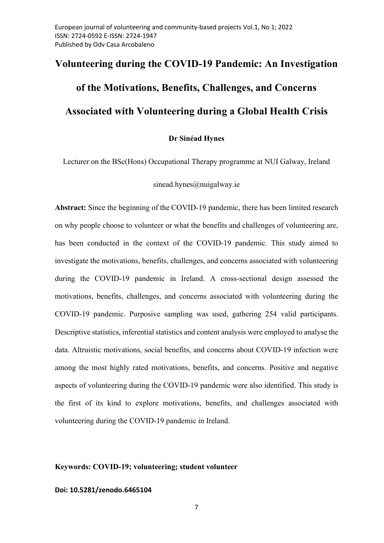# Volunteering during the COVID-19 Pandemic: An Investigation of the Motivations, Benefits, Challenges, and Concerns Associated with Volunteering during a Global Health Crisis

Dr Sinéad Hynes

Lecturer on the BSc(Hons) Occupational Therapy programme at NUI Galway, Ireland

sinead.hynes@nuigalway.ie

Abstract: Since the beginning of the COVID-19 pandemic, there has been limited research on why people choose to volunteer or what the benefits and challenges of volunteering are, has been conducted in the context of the COVID-19 pandemic. This study aimed to investigate the motivations, benefits, challenges, and concerns associated with volunteering during the COVID-19 pandemic in Ireland. A cross-sectional design assessed the motivations, benefits, challenges, and concerns associated with volunteering during the COVID-19 pandemic. Purposive sampling was used, gathering 254 valid participants. Descriptive statistics, inferential statistics and content analysis were employed to analyse the data. Altruistic motivations, social benefits, and concerns about COVID-19 infection were among the most highly rated motivations, benefits, and concerns. Positive and negative aspects of volunteering during the COVID-19 pandemic were also identified. This study is the first of its kind to explore motivations, benefits, and challenges associated with volunteering during the COVID-19 pandemic in Ireland.

## Keywords: COVID-19; volunteering; student volunteer

## Doi: 10.5281/zenodo.6465104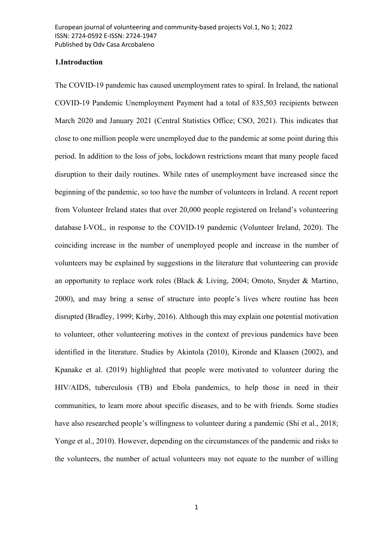## 1.Introduction

The COVID-19 pandemic has caused unemployment rates to spiral. In Ireland, the national COVID-19 Pandemic Unemployment Payment had a total of 835,503 recipients between March 2020 and January 2021 (Central Statistics Office; CSO, 2021). This indicates that close to one million people were unemployed due to the pandemic at some point during this period. In addition to the loss of jobs, lockdown restrictions meant that many people faced disruption to their daily routines. While rates of unemployment have increased since the beginning of the pandemic, so too have the number of volunteers in Ireland. A recent report from Volunteer Ireland states that over 20,000 people registered on Ireland's volunteering database I-VOL, in response to the COVID-19 pandemic (Volunteer Ireland, 2020). The coinciding increase in the number of unemployed people and increase in the number of volunteers may be explained by suggestions in the literature that volunteering can provide an opportunity to replace work roles (Black & Living, 2004; Omoto, Snyder & Martino, 2000), and may bring a sense of structure into people's lives where routine has been disrupted (Bradley, 1999; Kirby, 2016). Although this may explain one potential motivation to volunteer, other volunteering motives in the context of previous pandemics have been identified in the literature. Studies by Akintola (2010), Kironde and Klaasen (2002), and Kpanake et al. (2019) highlighted that people were motivated to volunteer during the HIV/AIDS, tuberculosis (TB) and Ebola pandemics, to help those in need in their communities, to learn more about specific diseases, and to be with friends. Some studies have also researched people's willingness to volunteer during a pandemic (Shi et al., 2018; Yonge et al., 2010). However, depending on the circumstances of the pandemic and risks to the volunteers, the number of actual volunteers may not equate to the number of willing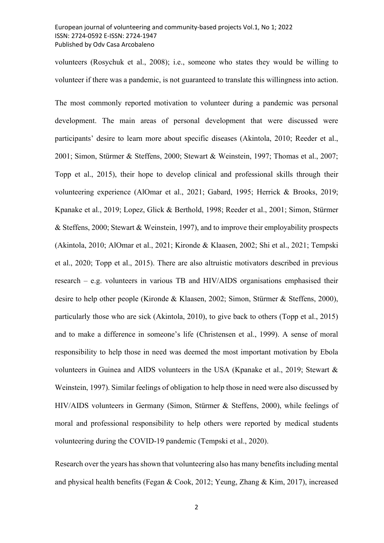volunteers (Rosychuk et al., 2008); i.e., someone who states they would be willing to volunteer if there was a pandemic, is not guaranteed to translate this willingness into action.

The most commonly reported motivation to volunteer during a pandemic was personal development. The main areas of personal development that were discussed were participants' desire to learn more about specific diseases (Akintola, 2010; Reeder et al., 2001; Simon, Stürmer & Steffens, 2000; Stewart & Weinstein, 1997; Thomas et al., 2007; Topp et al., 2015), their hope to develop clinical and professional skills through their volunteering experience (AlOmar et al., 2021; Gabard, 1995; Herrick & Brooks, 2019; Kpanake et al., 2019; Lopez, Glick & Berthold, 1998; Reeder et al., 2001; Simon, Stürmer & Steffens, 2000; Stewart & Weinstein, 1997), and to improve their employability prospects (Akintola, 2010; AlOmar et al., 2021; Kironde & Klaasen, 2002; Shi et al., 2021; Tempski et al., 2020; Topp et al., 2015). There are also altruistic motivators described in previous research – e.g. volunteers in various TB and HIV/AIDS organisations emphasised their desire to help other people (Kironde & Klaasen, 2002; Simon, Stürmer & Steffens, 2000), particularly those who are sick (Akintola, 2010), to give back to others (Topp et al., 2015) and to make a difference in someone's life (Christensen et al., 1999). A sense of moral responsibility to help those in need was deemed the most important motivation by Ebola volunteers in Guinea and AIDS volunteers in the USA (Kpanake et al., 2019; Stewart & Weinstein, 1997). Similar feelings of obligation to help those in need were also discussed by HIV/AIDS volunteers in Germany (Simon, Stürmer & Steffens, 2000), while feelings of moral and professional responsibility to help others were reported by medical students volunteering during the COVID-19 pandemic (Tempski et al., 2020).

Research over the years has shown that volunteering also has many benefits including mental and physical health benefits (Fegan & Cook, 2012; Yeung, Zhang & Kim, 2017), increased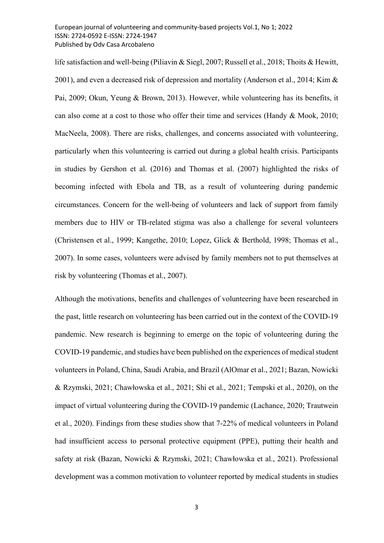life satisfaction and well-being (Piliavin & Siegl, 2007; Russell et al., 2018; Thoits & Hewitt, 2001), and even a decreased risk of depression and mortality (Anderson et al., 2014; Kim & Pai, 2009; Okun, Yeung & Brown, 2013). However, while volunteering has its benefits, it can also come at a cost to those who offer their time and services (Handy & Mook, 2010; MacNeela, 2008). There are risks, challenges, and concerns associated with volunteering, particularly when this volunteering is carried out during a global health crisis. Participants in studies by Gershon et al. (2016) and Thomas et al. (2007) highlighted the risks of becoming infected with Ebola and TB, as a result of volunteering during pandemic circumstances. Concern for the well-being of volunteers and lack of support from family members due to HIV or TB-related stigma was also a challenge for several volunteers (Christensen et al., 1999; Kangethe, 2010; Lopez, Glick & Berthold, 1998; Thomas et al., 2007). In some cases, volunteers were advised by family members not to put themselves at risk by volunteering (Thomas et al., 2007).

Although the motivations, benefits and challenges of volunteering have been researched in the past, little research on volunteering has been carried out in the context of the COVID-19 pandemic. New research is beginning to emerge on the topic of volunteering during the COVID-19 pandemic, and studies have been published on the experiences of medical student volunteers in Poland, China, Saudi Arabia, and Brazil (AlOmar et al., 2021; Bazan, Nowicki & Rzymski, 2021; Chawłowska et al., 2021; Shi et al., 2021; Tempski et al., 2020), on the impact of virtual volunteering during the COVID-19 pandemic (Lachance, 2020; Trautwein et al., 2020). Findings from these studies show that 7-22% of medical volunteers in Poland had insufficient access to personal protective equipment (PPE), putting their health and safety at risk (Bazan, Nowicki & Rzymski, 2021; Chawłowska et al., 2021). Professional development was a common motivation to volunteer reported by medical students in studies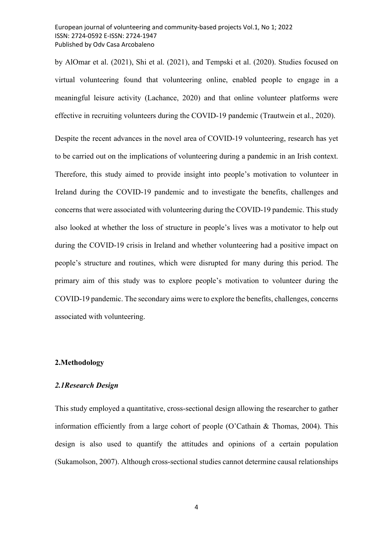by AlOmar et al. (2021), Shi et al. (2021), and Tempski et al. (2020). Studies focused on virtual volunteering found that volunteering online, enabled people to engage in a meaningful leisure activity (Lachance, 2020) and that online volunteer platforms were effective in recruiting volunteers during the COVID-19 pandemic (Trautwein et al., 2020).

Despite the recent advances in the novel area of COVID-19 volunteering, research has yet to be carried out on the implications of volunteering during a pandemic in an Irish context. Therefore, this study aimed to provide insight into people's motivation to volunteer in Ireland during the COVID-19 pandemic and to investigate the benefits, challenges and concerns that were associated with volunteering during the COVID-19 pandemic. This study also looked at whether the loss of structure in people's lives was a motivator to help out during the COVID-19 crisis in Ireland and whether volunteering had a positive impact on people's structure and routines, which were disrupted for many during this period. The primary aim of this study was to explore people's motivation to volunteer during the COVID-19 pandemic. The secondary aims were to explore the benefits, challenges, concerns associated with volunteering.

#### 2.Methodology

#### 2.1Research Design

This study employed a quantitative, cross-sectional design allowing the researcher to gather information efficiently from a large cohort of people (O'Cathain & Thomas, 2004). This design is also used to quantify the attitudes and opinions of a certain population (Sukamolson, 2007). Although cross-sectional studies cannot determine causal relationships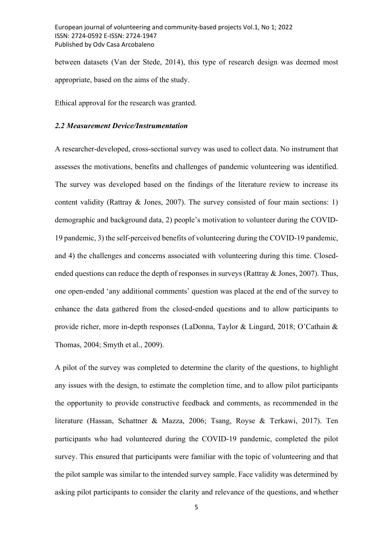between datasets (Van der Stede, 2014), this type of research design was deemed most appropriate, based on the aims of the study.

Ethical approval for the research was granted.

### 2.2 Measurement Device/Instrumentation

A researcher-developed, cross-sectional survey was used to collect data. No instrument that assesses the motivations, benefits and challenges of pandemic volunteering was identified. The survey was developed based on the findings of the literature review to increase its content validity (Rattray & Jones, 2007). The survey consisted of four main sections: 1) demographic and background data, 2) people's motivation to volunteer during the COVID-19 pandemic, 3) the self-perceived benefits of volunteering during the COVID-19 pandemic, and 4) the challenges and concerns associated with volunteering during this time. Closedended questions can reduce the depth of responses in surveys (Rattray & Jones, 2007). Thus, one open-ended 'any additional comments' question was placed at the end of the survey to enhance the data gathered from the closed-ended questions and to allow participants to provide richer, more in-depth responses (LaDonna, Taylor & Lingard, 2018; O'Cathain & Thomas, 2004; Smyth et al., 2009).

A pilot of the survey was completed to determine the clarity of the questions, to highlight any issues with the design, to estimate the completion time, and to allow pilot participants the opportunity to provide constructive feedback and comments, as recommended in the literature (Hassan, Schattner & Mazza, 2006; Tsang, Royse & Terkawi, 2017). Ten participants who had volunteered during the COVID-19 pandemic, completed the pilot survey. This ensured that participants were familiar with the topic of volunteering and that the pilot sample was similar to the intended survey sample. Face validity was determined by asking pilot participants to consider the clarity and relevance of the questions, and whether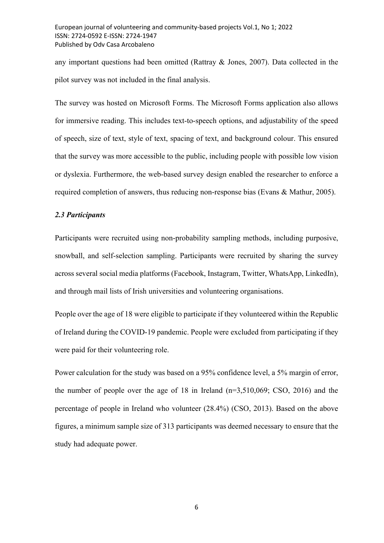any important questions had been omitted (Rattray & Jones, 2007). Data collected in the pilot survey was not included in the final analysis.

The survey was hosted on Microsoft Forms. The Microsoft Forms application also allows for immersive reading. This includes text-to-speech options, and adjustability of the speed of speech, size of text, style of text, spacing of text, and background colour. This ensured that the survey was more accessible to the public, including people with possible low vision or dyslexia. Furthermore, the web-based survey design enabled the researcher to enforce a required completion of answers, thus reducing non-response bias (Evans & Mathur, 2005).

## 2.3 Participants

Participants were recruited using non-probability sampling methods, including purposive, snowball, and self-selection sampling. Participants were recruited by sharing the survey across several social media platforms (Facebook, Instagram, Twitter, WhatsApp, LinkedIn), and through mail lists of Irish universities and volunteering organisations.

People over the age of 18 were eligible to participate if they volunteered within the Republic of Ireland during the COVID-19 pandemic. People were excluded from participating if they were paid for their volunteering role.

Power calculation for the study was based on a 95% confidence level, a 5% margin of error, the number of people over the age of 18 in Ireland (n=3,510,069; CSO, 2016) and the percentage of people in Ireland who volunteer (28.4%) (CSO, 2013). Based on the above figures, a minimum sample size of 313 participants was deemed necessary to ensure that the study had adequate power.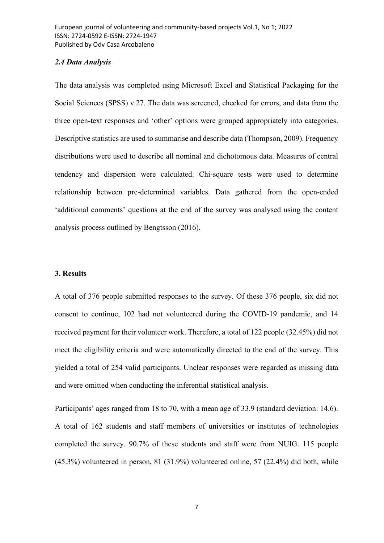#### 2.4 Data Analysis

The data analysis was completed using Microsoft Excel and Statistical Packaging for the Social Sciences (SPSS) v.27. The data was screened, checked for errors, and data from the three open-text responses and 'other' options were grouped appropriately into categories. Descriptive statistics are used to summarise and describe data (Thompson, 2009). Frequency distributions were used to describe all nominal and dichotomous data. Measures of central tendency and dispersion were calculated. Chi-square tests were used to determine relationship between pre-determined variables. Data gathered from the open-ended 'additional comments' questions at the end of the survey was analysed using the content analysis process outlined by Bengtsson (2016).

## 3. Results

A total of 376 people submitted responses to the survey. Of these 376 people, six did not consent to continue, 102 had not volunteered during the COVID-19 pandemic, and 14 received payment for their volunteer work. Therefore, a total of 122 people (32.45%) did not meet the eligibility criteria and were automatically directed to the end of the survey. This yielded a total of 254 valid participants. Unclear responses were regarded as missing data and were omitted when conducting the inferential statistical analysis.

Participants' ages ranged from 18 to 70, with a mean age of 33.9 (standard deviation: 14.6). A total of 162 students and staff members of universities or institutes of technologies completed the survey. 90.7% of these students and staff were from NUIG. 115 people (45.3%) volunteered in person, 81 (31.9%) volunteered online, 57 (22.4%) did both, while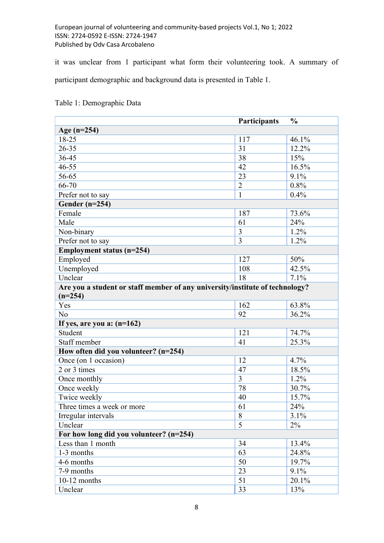it was unclear from 1 participant what form their volunteering took. A summary of participant demographic and background data is presented in Table 1.

|                                                                              | Participants   | $\frac{0}{0}$ |  |
|------------------------------------------------------------------------------|----------------|---------------|--|
| Age $(n=254)$                                                                |                |               |  |
| 18-25                                                                        | 117            | 46.1%         |  |
| $26 - 35$                                                                    | 31             | 12.2%         |  |
| 36-45                                                                        | 38             | 15%           |  |
| $46 - 55$                                                                    | 42             | 16.5%         |  |
| 56-65                                                                        | 23             | 9.1%          |  |
| 66-70                                                                        | $\overline{2}$ | 0.8%          |  |
| Prefer not to say                                                            | 1              | 0.4%          |  |
| Gender $(n=254)$                                                             |                |               |  |
| Female                                                                       | 187            | 73.6%         |  |
| Male                                                                         | 61             | 24%           |  |
| Non-binary                                                                   | 3              | 1.2%          |  |
| Prefer not to say                                                            | $\overline{3}$ | $1.2\%$       |  |
| Employment status (n=254)                                                    |                |               |  |
| Employed                                                                     | 127            | 50%           |  |
| Unemployed                                                                   | 108            | 42.5%         |  |
| Unclear                                                                      | 18             | 7.1%          |  |
| Are you a student or staff member of any university/institute of technology? |                |               |  |
| $(n=254)$                                                                    |                |               |  |
| Yes                                                                          | 162            | 63.8%         |  |
| No                                                                           | 92             | 36.2%         |  |
| If yes, are you a: $(n=162)$                                                 |                |               |  |
| Student                                                                      | 121            | 74.7%         |  |
| Staff member                                                                 | 41             | 25.3%         |  |
| How often did you volunteer? (n=254)                                         |                |               |  |
| Once (on 1 occasion)                                                         | 12             | 4.7%          |  |
| 2 or 3 times                                                                 | 47             | 18.5%         |  |
| Once monthly                                                                 | $\overline{3}$ | 1.2%          |  |
| Once weekly                                                                  | 78             | 30.7%         |  |
| Twice weekly                                                                 | 40             | 15.7%         |  |
| Three times a week or more                                                   | 61             | 24%           |  |
| Irregular intervals                                                          | 8              | 3.1%          |  |
| Unclear                                                                      | 5              | 2%            |  |
| For how long did you volunteer? (n=254)                                      |                |               |  |
| Less than 1 month                                                            | 34             | 13.4%         |  |
| 1-3 months                                                                   | 63             | 24.8%         |  |
| 4-6 months                                                                   | 50             | 19.7%         |  |
| 7-9 months                                                                   | 23             | 9.1%          |  |
| $10-12$ months                                                               | 51             | 20.1%         |  |
| Unclear                                                                      | 33             | 13%           |  |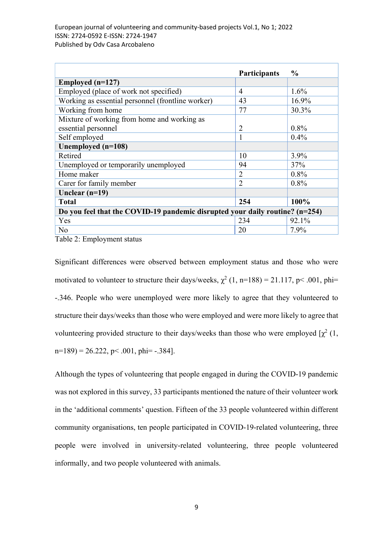|                                                                              | Participants   | $\frac{0}{0}$ |  |
|------------------------------------------------------------------------------|----------------|---------------|--|
| Employed $(n=127)$                                                           |                |               |  |
| Employed (place of work not specified)                                       | 4              | $1.6\%$       |  |
| Working as essential personnel (frontline worker)                            | 43             | 16.9%         |  |
| Working from home                                                            | 77             | 30.3%         |  |
| Mixture of working from home and working as                                  |                |               |  |
| essential personnel                                                          | $\overline{2}$ | $0.8\%$       |  |
| Self employed                                                                | -1             | 0.4%          |  |
| Unemployed (n=108)                                                           |                |               |  |
| Retired                                                                      | 10             | 3.9%          |  |
| Unemployed or temporarily unemployed                                         | 94             | 37%           |  |
| Home maker                                                                   | $\overline{2}$ | $0.8\%$       |  |
| Carer for family member                                                      | $\overline{2}$ | $0.8\%$       |  |
| Unclear $(n=19)$                                                             |                |               |  |
| <b>Total</b>                                                                 | 254            | 100%          |  |
| Do you feel that the COVID-19 pandemic disrupted your daily routine? (n=254) |                |               |  |
| Yes                                                                          | 234            | 92.1%         |  |
| No                                                                           | 20             | 7.9%          |  |

Table 2: Employment status

Significant differences were observed between employment status and those who were motivated to volunteer to structure their days/weeks,  $\chi^2$  (1, n=188) = 21.117, p< .001, phi= -.346. People who were unemployed were more likely to agree that they volunteered to structure their days/weeks than those who were employed and were more likely to agree that volunteering provided structure to their days/weeks than those who were employed  $[\chi^2(1, \chi)]$  $n=189$  = 26.222, p < .001, phi = -.384].

Although the types of volunteering that people engaged in during the COVID-19 pandemic was not explored in this survey, 33 participants mentioned the nature of their volunteer work in the 'additional comments' question. Fifteen of the 33 people volunteered within different community organisations, ten people participated in COVID-19-related volunteering, three people were involved in university-related volunteering, three people volunteered informally, and two people volunteered with animals.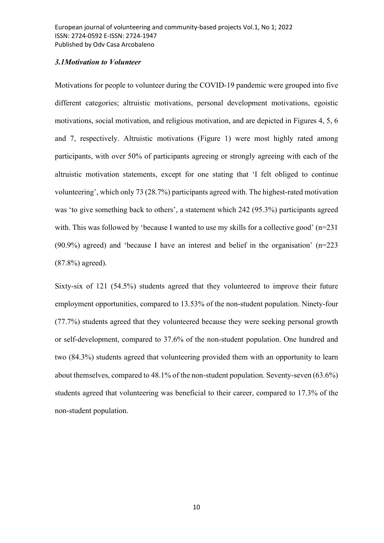## 3.1Motivation to Volunteer

Motivations for people to volunteer during the COVID-19 pandemic were grouped into five different categories; altruistic motivations, personal development motivations, egoistic motivations, social motivation, and religious motivation, and are depicted in Figures 4, 5, 6 and 7, respectively. Altruistic motivations (Figure 1) were most highly rated among participants, with over 50% of participants agreeing or strongly agreeing with each of the altruistic motivation statements, except for one stating that 'I felt obliged to continue volunteering', which only 73 (28.7%) participants agreed with. The highest-rated motivation was 'to give something back to others', a statement which 242 (95.3%) participants agreed with. This was followed by 'because I wanted to use my skills for a collective good'  $(n=231)$ (90.9%) agreed) and 'because I have an interest and belief in the organisation' (n=223 (87.8%) agreed).

Sixty-six of 121 (54.5%) students agreed that they volunteered to improve their future employment opportunities, compared to 13.53% of the non-student population. Ninety-four (77.7%) students agreed that they volunteered because they were seeking personal growth or self-development, compared to 37.6% of the non-student population. One hundred and two (84.3%) students agreed that volunteering provided them with an opportunity to learn about themselves, compared to 48.1% of the non-student population. Seventy-seven (63.6%) students agreed that volunteering was beneficial to their career, compared to 17.3% of the non-student population.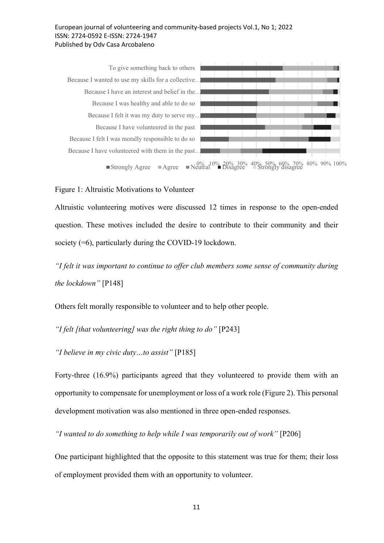

Figure 1: Altruistic Motivations to Volunteer

Altruistic volunteering motives were discussed 12 times in response to the open-ended question. These motives included the desire to contribute to their community and their society (=6), particularly during the COVID-19 lockdown.

"I felt it was important to continue to offer club members some sense of community during the lockdown" [P148]

Others felt morally responsible to volunteer and to help other people.

"I felt [that volunteering] was the right thing to do" [P243]

"I believe in my civic duty…to assist" [P185]

Forty-three (16.9%) participants agreed that they volunteered to provide them with an opportunity to compensate for unemployment or loss of a work role (Figure 2). This personal development motivation was also mentioned in three open-ended responses.

"I wanted to do something to help while I was temporarily out of work" [P206]

One participant highlighted that the opposite to this statement was true for them; their loss of employment provided them with an opportunity to volunteer.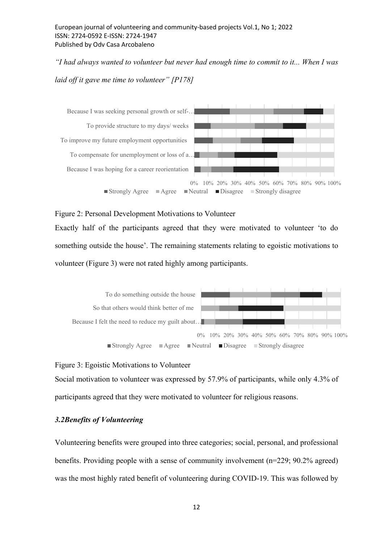"I had always wanted to volunteer but never had enough time to commit to it... When I was laid off it gave me time to volunteer" [P178]



#### Figure 2: Personal Development Motivations to Volunteer

Exactly half of the participants agreed that they were motivated to volunteer 'to do something outside the house'. The remaining statements relating to egoistic motivations to volunteer (Figure 3) were not rated highly among participants.



#### Figure 3: Egoistic Motivations to Volunteer

Social motivation to volunteer was expressed by 57.9% of participants, while only 4.3% of participants agreed that they were motivated to volunteer for religious reasons.

# 3.2Benefits of Volunteering

Volunteering benefits were grouped into three categories; social, personal, and professional benefits. Providing people with a sense of community involvement (n=229; 90.2% agreed) was the most highly rated benefit of volunteering during COVID-19. This was followed by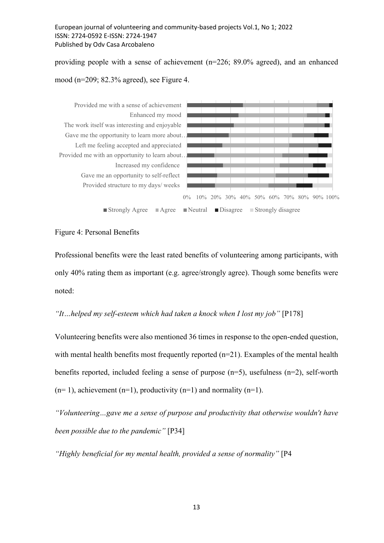providing people with a sense of achievement (n=226; 89.0% agreed), and an enhanced mood (n=209; 82.3% agreed), see Figure 4.



#### Figure 4: Personal Benefits

Professional benefits were the least rated benefits of volunteering among participants, with only 40% rating them as important (e.g. agree/strongly agree). Though some benefits were noted:

## "It...helped my self-esteem which had taken a knock when I lost my job" [P178]

Volunteering benefits were also mentioned 36 times in response to the open-ended question, with mental health benefits most frequently reported  $(n=21)$ . Examples of the mental health benefits reported, included feeling a sense of purpose (n=5), usefulness (n=2), self-worth  $(n= 1)$ , achievement  $(n=1)$ , productivity  $(n=1)$  and normality  $(n=1)$ .

"Volunteering…gave me a sense of purpose and productivity that otherwise wouldn't have been possible due to the pandemic" [P34]

"Highly beneficial for my mental health, provided a sense of normality" [P4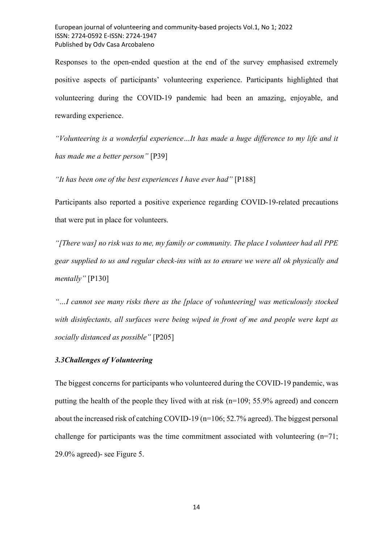Responses to the open-ended question at the end of the survey emphasised extremely positive aspects of participants' volunteering experience. Participants highlighted that volunteering during the COVID-19 pandemic had been an amazing, enjoyable, and rewarding experience.

"Volunteering is a wonderful experience…It has made a huge difference to my life and it has made me a better person" [P39]

"It has been one of the best experiences I have ever had"  $[P188]$ 

Participants also reported a positive experience regarding COVID-19-related precautions that were put in place for volunteers.

"[There was] no risk was to me, my family or community. The place I volunteer had all PPE gear supplied to us and regular check-ins with us to ensure we were all ok physically and mentally" [P130]

"…I cannot see many risks there as the [place of volunteering] was meticulously stocked with disinfectants, all surfaces were being wiped in front of me and people were kept as socially distanced as possible" [P205]

## 3.3Challenges of Volunteering

The biggest concerns for participants who volunteered during the COVID-19 pandemic, was putting the health of the people they lived with at risk (n=109; 55.9% agreed) and concern about the increased risk of catching COVID-19 (n=106; 52.7% agreed). The biggest personal challenge for participants was the time commitment associated with volunteering  $(n=71)$ ; 29.0% agreed)- see Figure 5.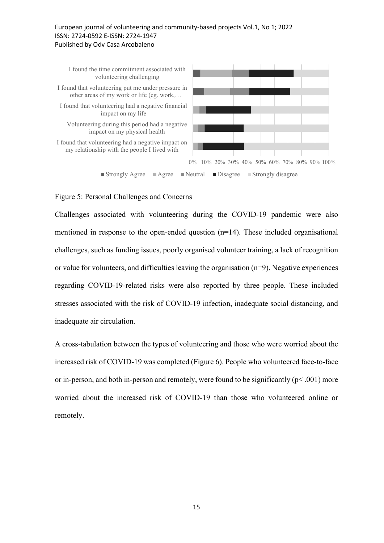

## Figure 5: Personal Challenges and Concerns

Challenges associated with volunteering during the COVID-19 pandemic were also mentioned in response to the open-ended question (n=14). These included organisational challenges, such as funding issues, poorly organised volunteer training, a lack of recognition or value for volunteers, and difficulties leaving the organisation (n=9). Negative experiences regarding COVID-19-related risks were also reported by three people. These included stresses associated with the risk of COVID-19 infection, inadequate social distancing, and inadequate air circulation.

A cross-tabulation between the types of volunteering and those who were worried about the increased risk of COVID-19 was completed (Figure 6). People who volunteered face-to-face or in-person, and both in-person and remotely, were found to be significantly ( $p \le 0.001$ ) more worried about the increased risk of COVID-19 than those who volunteered online or remotely.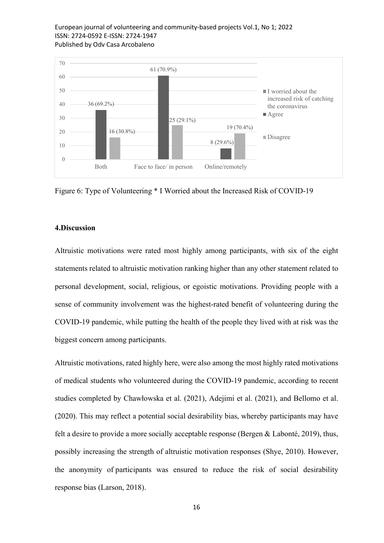

Figure 6: Type of Volunteering \* I Worried about the Increased Risk of COVID-19

#### 4.Discussion

Altruistic motivations were rated most highly among participants, with six of the eight statements related to altruistic motivation ranking higher than any other statement related to personal development, social, religious, or egoistic motivations. Providing people with a sense of community involvement was the highest-rated benefit of volunteering during the COVID-19 pandemic, while putting the health of the people they lived with at risk was the biggest concern among participants.

Altruistic motivations, rated highly here, were also among the most highly rated motivations of medical students who volunteered during the COVID-19 pandemic, according to recent studies completed by Chawłowska et al. (2021), Adejimi et al. (2021), and Bellomo et al. (2020). This may reflect a potential social desirability bias, whereby participants may have felt a desire to provide a more socially acceptable response (Bergen & Labonté, 2019), thus, possibly increasing the strength of altruistic motivation responses (Shye, 2010). However, the anonymity of participants was ensured to reduce the risk of social desirability response bias (Larson, 2018).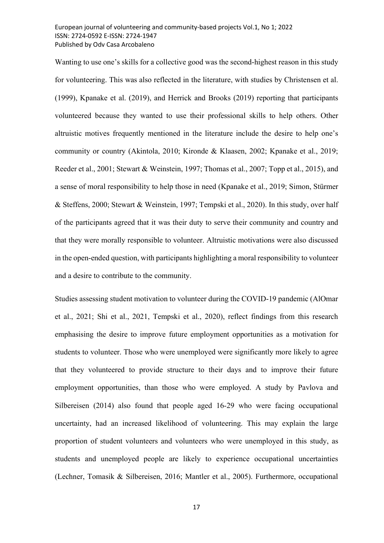Wanting to use one's skills for a collective good was the second-highest reason in this study for volunteering. This was also reflected in the literature, with studies by Christensen et al. (1999), Kpanake et al. (2019), and Herrick and Brooks (2019) reporting that participants volunteered because they wanted to use their professional skills to help others. Other altruistic motives frequently mentioned in the literature include the desire to help one's community or country (Akintola, 2010; Kironde & Klaasen, 2002; Kpanake et al., 2019; Reeder et al., 2001; Stewart & Weinstein, 1997; Thomas et al., 2007; Topp et al., 2015), and a sense of moral responsibility to help those in need (Kpanake et al., 2019; Simon, Stürmer & Steffens, 2000; Stewart & Weinstein, 1997; Tempski et al., 2020). In this study, over half of the participants agreed that it was their duty to serve their community and country and that they were morally responsible to volunteer. Altruistic motivations were also discussed in the open-ended question, with participants highlighting a moral responsibility to volunteer and a desire to contribute to the community.

Studies assessing student motivation to volunteer during the COVID-19 pandemic (AlOmar et al., 2021; Shi et al., 2021, Tempski et al., 2020), reflect findings from this research emphasising the desire to improve future employment opportunities as a motivation for students to volunteer. Those who were unemployed were significantly more likely to agree that they volunteered to provide structure to their days and to improve their future employment opportunities, than those who were employed. A study by Pavlova and Silbereisen (2014) also found that people aged 16-29 who were facing occupational uncertainty, had an increased likelihood of volunteering. This may explain the large proportion of student volunteers and volunteers who were unemployed in this study, as students and unemployed people are likely to experience occupational uncertainties (Lechner, Tomasik & Silbereisen, 2016; Mantler et al., 2005). Furthermore, occupational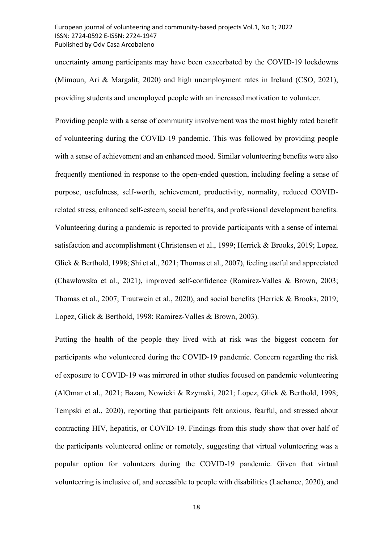uncertainty among participants may have been exacerbated by the COVID-19 lockdowns (Mimoun, Ari & Margalit, 2020) and high unemployment rates in Ireland (CSO, 2021), providing students and unemployed people with an increased motivation to volunteer.

Providing people with a sense of community involvement was the most highly rated benefit of volunteering during the COVID-19 pandemic. This was followed by providing people with a sense of achievement and an enhanced mood. Similar volunteering benefits were also frequently mentioned in response to the open-ended question, including feeling a sense of purpose, usefulness, self-worth, achievement, productivity, normality, reduced COVIDrelated stress, enhanced self-esteem, social benefits, and professional development benefits. Volunteering during a pandemic is reported to provide participants with a sense of internal satisfaction and accomplishment (Christensen et al., 1999; Herrick & Brooks, 2019; Lopez, Glick & Berthold, 1998; Shi et al., 2021; Thomas et al., 2007), feeling useful and appreciated (Chawłowska et al., 2021), improved self-confidence (Ramirez-Valles & Brown, 2003; Thomas et al., 2007; Trautwein et al., 2020), and social benefits (Herrick & Brooks, 2019; Lopez, Glick & Berthold, 1998; Ramirez-Valles & Brown, 2003).

Putting the health of the people they lived with at risk was the biggest concern for participants who volunteered during the COVID-19 pandemic. Concern regarding the risk of exposure to COVID-19 was mirrored in other studies focused on pandemic volunteering (AlOmar et al., 2021; Bazan, Nowicki & Rzymski, 2021; Lopez, Glick & Berthold, 1998; Tempski et al., 2020), reporting that participants felt anxious, fearful, and stressed about contracting HIV, hepatitis, or COVID-19. Findings from this study show that over half of the participants volunteered online or remotely, suggesting that virtual volunteering was a popular option for volunteers during the COVID-19 pandemic. Given that virtual volunteering is inclusive of, and accessible to people with disabilities (Lachance, 2020), and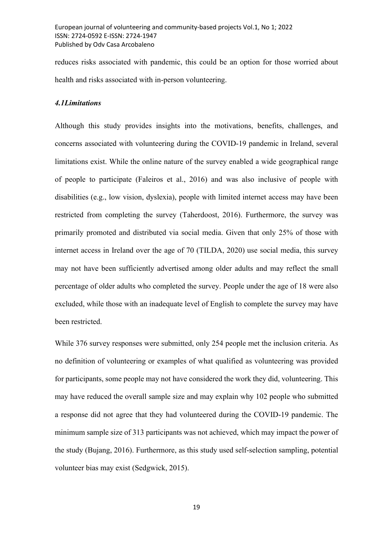reduces risks associated with pandemic, this could be an option for those worried about health and risks associated with in-person volunteering.

#### 4.1Limitations

Although this study provides insights into the motivations, benefits, challenges, and concerns associated with volunteering during the COVID-19 pandemic in Ireland, several limitations exist. While the online nature of the survey enabled a wide geographical range of people to participate (Faleiros et al., 2016) and was also inclusive of people with disabilities (e.g., low vision, dyslexia), people with limited internet access may have been restricted from completing the survey (Taherdoost, 2016). Furthermore, the survey was primarily promoted and distributed via social media. Given that only 25% of those with internet access in Ireland over the age of 70 (TILDA, 2020) use social media, this survey may not have been sufficiently advertised among older adults and may reflect the small percentage of older adults who completed the survey. People under the age of 18 were also excluded, while those with an inadequate level of English to complete the survey may have been restricted.

While 376 survey responses were submitted, only 254 people met the inclusion criteria. As no definition of volunteering or examples of what qualified as volunteering was provided for participants, some people may not have considered the work they did, volunteering. This may have reduced the overall sample size and may explain why 102 people who submitted a response did not agree that they had volunteered during the COVID-19 pandemic. The minimum sample size of 313 participants was not achieved, which may impact the power of the study (Bujang, 2016). Furthermore, as this study used self-selection sampling, potential volunteer bias may exist (Sedgwick, 2015).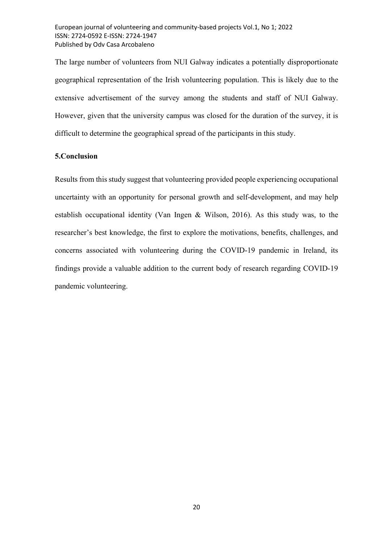The large number of volunteers from NUI Galway indicates a potentially disproportionate geographical representation of the Irish volunteering population. This is likely due to the extensive advertisement of the survey among the students and staff of NUI Galway. However, given that the university campus was closed for the duration of the survey, it is difficult to determine the geographical spread of the participants in this study.

## 5.Conclusion

Results from this study suggest that volunteering provided people experiencing occupational uncertainty with an opportunity for personal growth and self-development, and may help establish occupational identity (Van Ingen & Wilson, 2016). As this study was, to the researcher's best knowledge, the first to explore the motivations, benefits, challenges, and concerns associated with volunteering during the COVID-19 pandemic in Ireland, its findings provide a valuable addition to the current body of research regarding COVID-19 pandemic volunteering.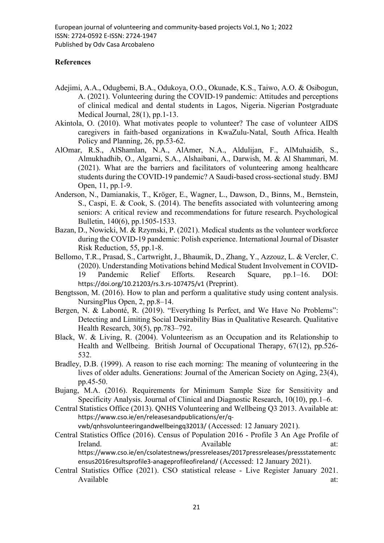## **References**

- Adejimi, A.A., Odugbemi, B.A., Odukoya, O.O., Okunade, K.S., Taiwo, A.O. & Osibogun, A. (2021). Volunteering during the COVID-19 pandemic: Attitudes and perceptions of clinical medical and dental students in Lagos, Nigeria. Nigerian Postgraduate Medical Journal, 28(1), pp.1-13.
- Akintola, O. (2010). What motivates people to volunteer? The case of volunteer AIDS caregivers in faith-based organizations in KwaZulu-Natal, South Africa. Health Policy and Planning, 26, pp.53-62.
- AlOmar, R.S., AlShamlan, N.A., AlAmer, N.A., Aldulijan, F., AlMuhaidib, S., Almukhadhib, O., Algarni, S.A., Alshaibani, A., Darwish, M. & Al Shammari, M. (2021). What are the barriers and facilitators of volunteering among healthcare students during the COVID-19 pandemic? A Saudi-based cross-sectional study. BMJ Open, 11, pp.1-9.
- Anderson, N., Damianakis, T., Kröger, E., Wagner, L., Dawson, D., Binns, M., Bernstein, S., Caspi, E. & Cook, S. (2014). The benefits associated with volunteering among seniors: A critical review and recommendations for future research. Psychological Bulletin, 140(6), pp.1505-1533.
- Bazan, D., Nowicki, M. & Rzymski, P. (2021). Medical students as the volunteer workforce during the COVID-19 pandemic: Polish experience. International Journal of Disaster Risk Reduction, 55, pp.1-8.
- Bellomo, T.R., Prasad, S., Cartwright, J., Bhaumik, D., Zhang, Y., Azzouz, L. & Vercler, C. (2020). Understanding Motivations behind Medical Student Involvement in COVID-19 Pandemic Relief Efforts. Research Square, pp.1–16. DOI: https://doi.org/10.21203/rs.3.rs-107475/v1 (Preprint).
- Bengtsson, M. (2016). How to plan and perform a qualitative study using content analysis. NursingPlus Open, 2, pp.8–14.
- Bergen, N. & Labonté, R. (2019). "Everything Is Perfect, and We Have No Problems": Detecting and Limiting Social Desirability Bias in Qualitative Research. Qualitative Health Research, 30(5), pp.783–792.
- Black, W. & Living, R. (2004). Volunteerism as an Occupation and its Relationship to Health and Wellbeing. British Journal of Occupational Therapy, 67(12), pp.526- 532.
- Bradley, D.B. (1999). A reason to rise each morning: The meaning of volunteering in the lives of older adults. Generations: Journal of the American Society on Aging, 23(4), pp.45-50.
- Bujang, M.A. (2016). Requirements for Minimum Sample Size for Sensitivity and Specificity Analysis. Journal of Clinical and Diagnostic Research, 10(10), pp.1–6.
- Central Statistics Office (2013). QNHS Volunteering and Wellbeing Q3 2013. Available at: https://www.cso.ie/en/releasesandpublications/er/qvwb/qnhsvolunteeringandwellbeingq32013/ (Accessed: 12 January 2021).

Central Statistics Office (2016). Census of Population 2016 - Profile 3 An Age Profile of Ireland. The according term at: Available at: at: https://www.cso.ie/en/csolatestnews/pressreleases/2017pressreleases/pressstatementc ensus2016resultsprofile3-anageprofileofireland/ (Accessed: 12 January 2021).

Central Statistics Office (2021). CSO statistical release - Live Register January 2021. Available at:  $\overline{a}$  at:  $\overline{a}$  at:  $\overline{a}$  at:  $\overline{a}$  at:  $\overline{a}$  at: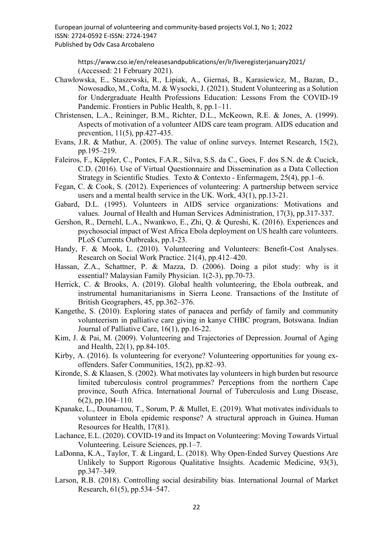https://www.cso.ie/en/releasesandpublications/er/lr/liveregisterjanuary2021/ (Accessed: 21 February 2021).

- Chawłowska, E., Staszewski, R., Lipiak, A., Giernaś, B., Karasiewicz, M., Bazan, D., Nowosadko, M., Cofta, M. & Wysocki, J. (2021). Student Volunteering as a Solution for Undergraduate Health Professions Education: Lessons From the COVID-19 Pandemic. Frontiers in Public Health, 8, pp.1–11.
- Christensen, L.A., Reininger, B.M., Richter, D.L., McKeown, R.E. & Jones, A. (1999). Aspects of motivation of a volunteer AIDS care team program. AIDS education and prevention, 11(5), pp.427-435.
- Evans, J.R. & Mathur, A. (2005). The value of online surveys. Internet Research, 15(2), pp.195–219.
- Faleiros, F., Käppler, C., Pontes, F.A.R., Silva, S.S. da C., Goes, F. dos S.N. de & Cucick, C.D. (2016). Use of Virtual Questionnaire and Dissemination as a Data Collection Strategy in Scientific Studies. Texto & Contexto - Enfermagem, 25(4), pp.1–6.
- Fegan, C. & Cook, S. (2012). Experiences of volunteering: A partnership between service users and a mental health service in the UK. Work, 43(1), pp.13-21.
- Gabard, D.L. (1995). Volunteers in AIDS service organizations: Motivations and values. Journal of Health and Human Services Administration, 17(3), pp.317-337.
- Gershon, R., Dernehl, L.A., Nwankwo, E., Zhi, Q. & Qureshi, K. (2016). Experiences and psychosocial impact of West Africa Ebola deployment on US health care volunteers. PLoS Currents Outbreaks, pp.1-23.
- Handy, F. & Mook, L. (2010). Volunteering and Volunteers: Benefit-Cost Analyses. Research on Social Work Practice. 21(4), pp.412–420.
- Hassan, Z.A., Schattner, P. & Mazza, D. (2006). Doing a pilot study: why is it essential? Malaysian Family Physician. 1(2-3), pp.70-73.
- Herrick, C. & Brooks, A. (2019). Global health volunteering, the Ebola outbreak, and instrumental humanitarianisms in Sierra Leone. Transactions of the Institute of British Geographers, 45, pp.362–376.
- Kangethe, S. (2010). Exploring states of panacea and perfidy of family and community volunteerism in palliative care giving in kanye CHBC program, Botswana. Indian Journal of Palliative Care, 16(1), pp.16-22.
- Kim, J. & Pai, M. (2009). Volunteering and Trajectories of Depression. Journal of Aging and Health, 22(1), pp.84-105.
- Kirby, A. (2016). Is volunteering for everyone? Volunteering opportunities for young exoffenders. Safer Communities, 15(2), pp.82–93.
- Kironde, S. & Klaasen, S. (2002). What motivates lay volunteers in high burden but resource limited tuberculosis control programmes? Perceptions from the northern Cape province, South Africa. International Journal of Tuberculosis and Lung Disease, 6(2), pp.104–110.
- Kpanake, L., Dounamou, T., Sorum, P. & Mullet, E. (2019). What motivates individuals to volunteer in Ebola epidemic response? A structural approach in Guinea. Human Resources for Health, 17(81).
- Lachance, E.L. (2020). COVID-19 and its Impact on Volunteering: Moving Towards Virtual Volunteering. Leisure Sciences, pp.1–7.
- LaDonna, K.A., Taylor, T. & Lingard, L. (2018). Why Open-Ended Survey Questions Are Unlikely to Support Rigorous Qualitative Insights. Academic Medicine, 93(3), pp.347–349.
- Larson, R.B. (2018). Controlling social desirability bias. International Journal of Market Research, 61(5), pp.534–547.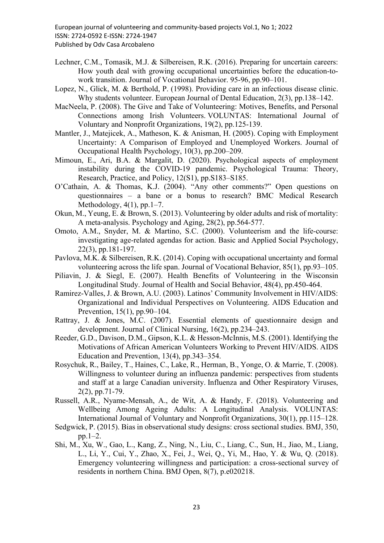- Lechner, C.M., Tomasik, M.J. & Silbereisen, R.K. (2016). Preparing for uncertain careers: How youth deal with growing occupational uncertainties before the education-towork transition. Journal of Vocational Behavior. 95-96, pp.90–101.
- Lopez, N., Glick, M. & Berthold, P. (1998). Providing care in an infectious disease clinic. Why students volunteer. European Journal of Dental Education, 2(3), pp.138–142.
- MacNeela, P. (2008). The Give and Take of Volunteering: Motives, Benefits, and Personal Connections among Irish Volunteers. VOLUNTAS: International Journal of Voluntary and Nonprofit Organizations, 19(2), pp.125-139.
- Mantler, J., Matejicek, A., Matheson, K. & Anisman, H. (2005). Coping with Employment Uncertainty: A Comparison of Employed and Unemployed Workers. Journal of Occupational Health Psychology, 10(3), pp.200–209.
- Mimoun, E., Ari, B.A. & Margalit, D. (2020). Psychological aspects of employment instability during the COVID-19 pandemic. Psychological Trauma: Theory, Research, Practice, and Policy, 12(S1), pp.S183–S185.
- O'Cathain, A. & Thomas, K.J. (2004). "Any other comments?" Open questions on questionnaires – a bane or a bonus to research? BMC Medical Research Methodology,  $4(1)$ , pp. 1–7.
- Okun, M., Yeung, E. & Brown, S. (2013). Volunteering by older adults and risk of mortality: A meta-analysis. Psychology and Aging, 28(2), pp.564-577.
- Omoto, A.M., Snyder, M. & Martino, S.C. (2000). Volunteerism and the life-course: investigating age-related agendas for action. Basic and Applied Social Psychology, 22(3), pp.181-197.
- Pavlova, M.K. & Silbereisen, R.K. (2014). Coping with occupational uncertainty and formal volunteering across the life span. Journal of Vocational Behavior, 85(1), pp.93–105.
- Piliavin, J. & Siegl, E. (2007). Health Benefits of Volunteering in the Wisconsin Longitudinal Study. Journal of Health and Social Behavior, 48(4), pp.450-464.
- Ramirez-Valles, J. & Brown, A.U. (2003). Latinos' Community Involvement in HIV/AIDS: Organizational and Individual Perspectives on Volunteering. AIDS Education and Prevention, 15(1), pp.90–104.
- Rattray, J. & Jones, M.C. (2007). Essential elements of questionnaire design and development. Journal of Clinical Nursing, 16(2), pp.234–243.
- Reeder, G.D., Davison, D.M., Gipson, K.L. & Hesson-McInnis, M.S. (2001). Identifying the Motivations of African American Volunteers Working to Prevent HIV/AIDS. AIDS Education and Prevention, 13(4), pp.343–354.
- Rosychuk, R., Bailey, T., Haines, C., Lake, R., Herman, B., Yonge, O. & Marrie, T. (2008). Willingness to volunteer during an influenza pandemic: perspectives from students and staff at a large Canadian university. Influenza and Other Respiratory Viruses, 2(2), pp.71-79.
- Russell, A.R., Nyame-Mensah, A., de Wit, A. & Handy, F. (2018). Volunteering and Wellbeing Among Ageing Adults: A Longitudinal Analysis. VOLUNTAS: International Journal of Voluntary and Nonprofit Organizations, 30(1), pp.115–128.
- Sedgwick, P. (2015). Bias in observational study designs: cross sectional studies. BMJ, 350, pp.1–2.
- Shi, M., Xu, W., Gao, L., Kang, Z., Ning, N., Liu, C., Liang, C., Sun, H., Jiao, M., Liang, L., Li, Y., Cui, Y., Zhao, X., Fei, J., Wei, Q., Yi, M., Hao, Y. & Wu, Q. (2018). Emergency volunteering willingness and participation: a cross-sectional survey of residents in northern China. BMJ Open, 8(7), p.e020218.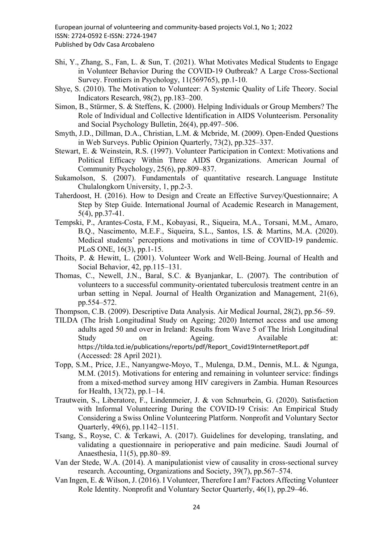- Shi, Y., Zhang, S., Fan, L. & Sun, T. (2021). What Motivates Medical Students to Engage in Volunteer Behavior During the COVID-19 Outbreak? A Large Cross-Sectional Survey. Frontiers in Psychology, 11(569765), pp.1-10.
- Shye, S. (2010). The Motivation to Volunteer: A Systemic Quality of Life Theory. Social Indicators Research, 98(2), pp.183–200.
- Simon, B., Stürmer, S. & Steffens, K. (2000). Helping Individuals or Group Members? The Role of Individual and Collective Identification in AIDS Volunteerism. Personality and Social Psychology Bulletin, 26(4), pp.497–506.
- Smyth, J.D., Dillman, D.A., Christian, L.M. & Mcbride, M. (2009). Open-Ended Questions in Web Surveys. Public Opinion Quarterly, 73(2), pp.325–337.
- Stewart, E. & Weinstein, R.S. (1997). Volunteer Participation in Context: Motivations and Political Efficacy Within Three AIDS Organizations. American Journal of Community Psychology, 25(6), pp.809–837.
- Sukamolson, S. (2007). Fundamentals of quantitative research. Language Institute Chulalongkorn University, 1, pp.2-3.
- Taherdoost, H. (2016). How to Design and Create an Effective Survey/Questionnaire; A Step by Step Guide. International Journal of Academic Research in Management, 5(4), pp.37-41.
- Tempski, P., Arantes-Costa, F.M., Kobayasi, R., Siqueira, M.A., Torsani, M.M., Amaro, B.Q., Nascimento, M.E.F., Siqueira, S.L., Santos, I.S. & Martins, M.A. (2020). Medical students' perceptions and motivations in time of COVID-19 pandemic. PLoS ONE, 16(3), pp.1-15.
- Thoits, P. & Hewitt, L. (2001). Volunteer Work and Well-Being. Journal of Health and Social Behavior, 42, pp.115–131.
- Thomas, C., Newell, J.N., Baral, S.C. & Byanjankar, L. (2007). The contribution of volunteers to a successful community‐orientated tuberculosis treatment centre in an urban setting in Nepal. Journal of Health Organization and Management, 21(6), pp.554–572.
- Thompson, C.B. (2009). Descriptive Data Analysis. Air Medical Journal, 28(2), pp.56–59.
- TILDA (The Irish Longitudinal Study on Ageing; 2020) Internet access and use among adults aged 50 and over in Ireland: Results from Wave 5 of The Irish Longitudinal Study on Ageing. Available at: https://tilda.tcd.ie/publications/reports/pdf/Report\_Covid19InternetReport.pdf (Accessed: 28 April 2021).
- Topp, S.M., Price, J.E., Nanyangwe-Moyo, T., Mulenga, D.M., Dennis, M.L. & Ngunga, M.M. (2015). Motivations for entering and remaining in volunteer service: findings from a mixed-method survey among HIV caregivers in Zambia. Human Resources for Health, 13(72), pp.1–14.
- Trautwein, S., Liberatore, F., Lindenmeier, J. & von Schnurbein, G. (2020). Satisfaction with Informal Volunteering During the COVID-19 Crisis: An Empirical Study Considering a Swiss Online Volunteering Platform. Nonprofit and Voluntary Sector Quarterly, 49(6), pp.1142–1151.
- Tsang, S., Royse, C. & Terkawi, A. (2017). Guidelines for developing, translating, and validating a questionnaire in perioperative and pain medicine. Saudi Journal of Anaesthesia, 11(5), pp.80–89.
- Van der Stede, W.A. (2014). A manipulationist view of causality in cross-sectional survey research. Accounting, Organizations and Society, 39(7), pp.567–574.
- Van Ingen, E. & Wilson, J. (2016). I Volunteer, Therefore I am? Factors Affecting Volunteer Role Identity. Nonprofit and Voluntary Sector Quarterly, 46(1), pp.29–46.